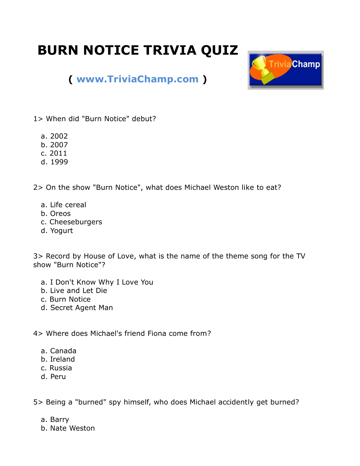## **BURN NOTICE TRIVIA QUIZ**



## **( [www.TriviaChamp.com](http://www.triviachamp.com/) )**

1> When did "Burn Notice" debut?

- a. 2002
- b. 2007
- c. 2011
- d. 1999

2> On the show "Burn Notice", what does Michael Weston like to eat?

- a. Life cereal
- b. Oreos
- c. Cheeseburgers
- d. Yogurt

3> Record by House of Love, what is the name of the theme song for the TV show "Burn Notice"?

- a. I Don't Know Why I Love You
- b. Live and Let Die
- c. Burn Notice
- d. Secret Agent Man

4> Where does Michael's friend Fiona come from?

- a. Canada
- b. Ireland
- c. Russia
- d. Peru

5> Being a "burned" spy himself, who does Michael accidently get burned?

- a. Barry
- b. Nate Weston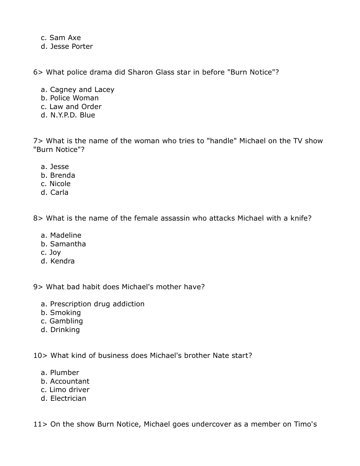c. Sam Axe d. Jesse Porter

6> What police drama did Sharon Glass star in before "Burn Notice"?

- a. Cagney and Lacey
- b. Police Woman
- c. Law and Order
- d. N.Y.P.D. Blue

7> What is the name of the woman who tries to "handle" Michael on the TV show "Burn Notice"?

- a. Jesse
- b. Brenda
- c. Nicole
- d. Carla

8> What is the name of the female assassin who attacks Michael with a knife?

- a. Madeline
- b. Samantha
- c. Joy
- d. Kendra

9> What bad habit does Michael's mother have?

- a. Prescription drug addiction
- b. Smoking
- c. Gambling
- d. Drinking

10> What kind of business does Michael's brother Nate start?

- a. Plumber
- b. Accountant
- c. Limo driver
- d. Electrician

11> On the show Burn Notice, Michael goes undercover as a member on Timo's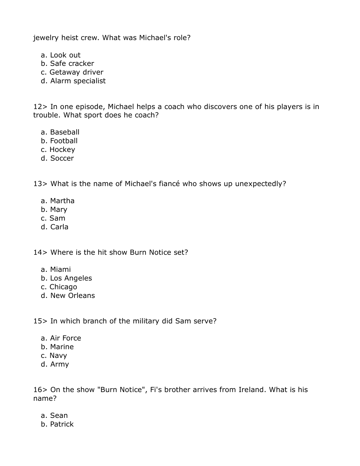jewelry heist crew. What was Michael's role?

- a. Look out
- b. Safe cracker
- c. Getaway driver
- d. Alarm specialist

12> In one episode, Michael helps a coach who discovers one of his players is in trouble. What sport does he coach?

- a. Baseball
- b. Football
- c. Hockey
- d. Soccer

13> What is the name of Michael's fiancé who shows up unexpectedly?

- a. Martha
- b. Mary
- c. Sam
- d. Carla

14> Where is the hit show Burn Notice set?

- a. Miami
- b. Los Angeles
- c. Chicago
- d. New Orleans

15> In which branch of the military did Sam serve?

- a. Air Force
- b. Marine
- c. Navy
- d. Army

16> On the show "Burn Notice", Fi's brother arrives from Ireland. What is his name?

- a. Sean
- b. Patrick